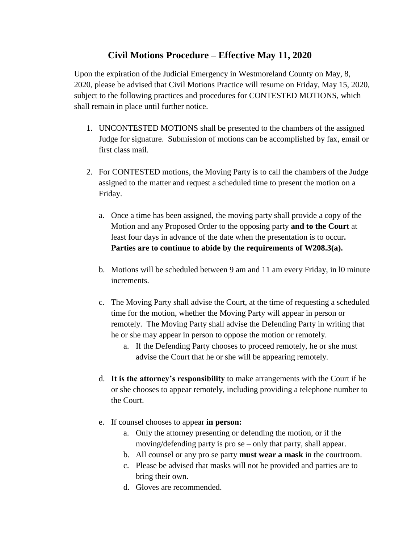## **Civil Motions Procedure – Effective May 11, 2020**

Upon the expiration of the Judicial Emergency in Westmoreland County on May, 8, 2020, please be advised that Civil Motions Practice will resume on Friday, May 15, 2020, subject to the following practices and procedures for CONTESTED MOTIONS, which shall remain in place until further notice.

- 1. UNCONTESTED MOTIONS shall be presented to the chambers of the assigned Judge for signature. Submission of motions can be accomplished by fax, email or first class mail.
- 2. For CONTESTED motions, the Moving Party is to call the chambers of the Judge assigned to the matter and request a scheduled time to present the motion on a Friday.
	- a. Once a time has been assigned, the moving party shall provide a copy of the Motion and any Proposed Order to the opposing party **and to the Court** at least four days in advance of the date when the presentation is to occur**. Parties are to continue to abide by the requirements of W208.3(a).**
	- b. Motions will be scheduled between 9 am and 11 am every Friday, in l0 minute increments.
	- c. The Moving Party shall advise the Court, at the time of requesting a scheduled time for the motion, whether the Moving Party will appear in person or remotely. The Moving Party shall advise the Defending Party in writing that he or she may appear in person to oppose the motion or remotely.
		- a. If the Defending Party chooses to proceed remotely, he or she must advise the Court that he or she will be appearing remotely.
	- d. **It is the attorney's responsibility** to make arrangements with the Court if he or she chooses to appear remotely, including providing a telephone number to the Court.
	- e. If counsel chooses to appear **in person:**
		- a. Only the attorney presenting or defending the motion, or if the moving/defending party is pro se – only that party, shall appear.
		- b. All counsel or any pro se party **must wear a mask** in the courtroom.
		- c. Please be advised that masks will not be provided and parties are to bring their own.
		- d. Gloves are recommended.